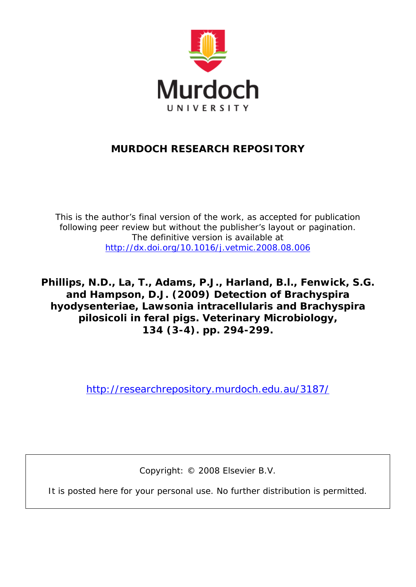

## **MURDOCH RESEARCH REPOSITORY**

*This is the author's final version of the work, as accepted for publication following peer review but without the publisher's layout or pagination. The definitive version is available at <http://dx.doi.org/10.1016/j.vetmic.2008.08.006>*

**Phillips, N.D., La, T., Adams, P.J., Harland, B.l., Fenwick, S.G. and Hampson, D.J. (2009) Detection of Brachyspira hyodysenteriae, Lawsonia intracellularis and Brachyspira pilosicoli in feral pigs. Veterinary Microbiology, 134 (3-4). pp. 294-299.**

<http://researchrepository.murdoch.edu.au/3187/>

Copyright: © 2008 Elsevier B.V.

It is posted here for your personal use. No further distribution is permitted.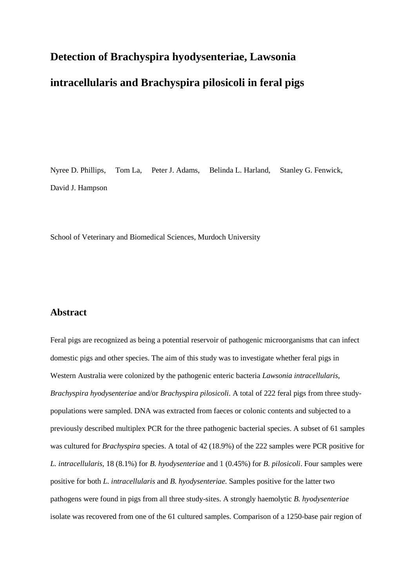# **Detection of Brachyspira hyodysenteriae, Lawsonia intracellularis and Brachyspira pilosicoli in feral pigs**

Nyree D. Phillips, Tom La, Peter J. Adams, Belinda L. Harland, Stanley G. Fenwick, David J. Hampson

School of Veterinary and Biomedical Sciences, Murdoch University

## **Abstract**

Feral pigs are recognized as being a potential reservoir of pathogenic microorganisms that can infect domestic pigs and other species. The aim of this study was to investigate whether feral pigs in Western Australia were colonized by the pathogenic enteric bacteria *Lawsonia intracellularis*, *Brachyspira hyodysenteriae* and/or *Brachyspira pilosicoli*. A total of 222 feral pigs from three studypopulations were sampled. DNA was extracted from faeces or colonic contents and subjected to a previously described multiplex PCR for the three pathogenic bacterial species. A subset of 61 samples was cultured for *Brachyspira* species. A total of 42 (18.9%) of the 222 samples were PCR positive for *L. intracellularis*, 18 (8.1%) for *B. hyodysenteriae* and 1 (0.45%) for *B. pilosicoli*. Four samples were positive for both *L. intracellularis* and *B. hyodysenteriae.* Samples positive for the latter two pathogens were found in pigs from all three study-sites. A strongly haemolytic *B. hyodysenteriae* isolate was recovered from one of the 61 cultured samples. Comparison of a 1250-base pair region of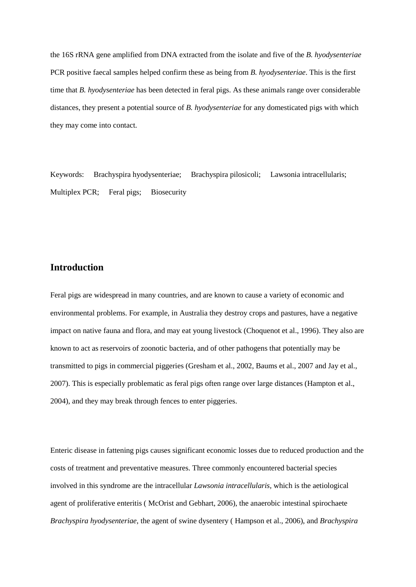the 16S rRNA gene amplified from DNA extracted from the isolate and five of the *B. hyodysenteriae* PCR positive faecal samples helped confirm these as being from *B. hyodysenteriae*. This is the first time that *B. hyodysenteriae* has been detected in feral pigs. As these animals range over considerable distances, they present a potential source of *B. hyodysenteriae* for any domesticated pigs with which they may come into contact.

Keywords: Brachyspira hyodysenteriae; Brachyspira pilosicoli; Lawsonia intracellularis; Multiplex PCR; Feral pigs; Biosecurity

## **Introduction**

Feral pigs are widespread in many countries, and are known to cause a variety of economic and environmental problems. For example, in Australia they destroy crops and pastures, have a negative impact on native fauna and flora, and may eat young livestock (Choquenot et al., 1996). They also are known to act as reservoirs of zoonotic bacteria, and of other pathogens that potentially may be transmitted to pigs in commercial piggeries (Gresham et al., 2002, Baums et al., 2007 and Jay et al., 2007). This is especially problematic as feral pigs often range over large distances (Hampton et al., 2004), and they may break through fences to enter piggeries.

Enteric disease in fattening pigs causes significant economic losses due to reduced production and the costs of treatment and preventative measures. Three commonly encountered bacterial species involved in this syndrome are the intracellular *Lawsonia intracellularis,* which is the aetiological agent of proliferative enteritis ( McOrist and Gebhart, 2006), the anaerobic intestinal spirochaete *Brachyspira hyodysenteriae*, the agent of swine dysentery ( Hampson et al., 2006), and *Brachyspira*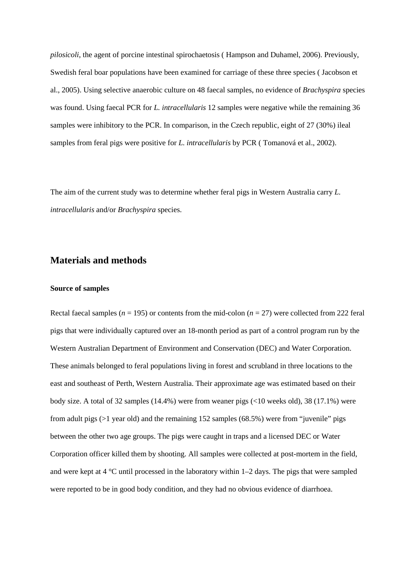*pilosicoli*, the agent of porcine intestinal spirochaetosis ( Hampson and Duhamel, 2006). Previously, Swedish feral boar populations have been examined for carriage of these three species ( Jacobson et al., 2005). Using selective anaerobic culture on 48 faecal samples, no evidence of *Brachyspira* species was found. Using faecal PCR for *L. intracellularis* 12 samples were negative while the remaining 36 samples were inhibitory to the PCR. In comparison, in the Czech republic, eight of 27 (30%) ileal samples from feral pigs were positive for *L. intracellularis* by PCR ( Tomanová et al., 2002).

The aim of the current study was to determine whether feral pigs in Western Australia carry *L. intracellularis* and/or *Brachyspira* species.

## **Materials and methods**

#### **Source of samples**

Rectal faecal samples ( $n = 195$ ) or contents from the mid-colon ( $n = 27$ ) were collected from 222 feral pigs that were individually captured over an 18-month period as part of a control program run by the Western Australian Department of Environment and Conservation (DEC) and Water Corporation. These animals belonged to feral populations living in forest and scrubland in three locations to the east and southeast of Perth, Western Australia. Their approximate age was estimated based on their body size. A total of 32 samples (14.4%) were from weaner pigs (<10 weeks old), 38 (17.1%) were from adult pigs ( $>1$  year old) and the remaining 152 samples (68.5%) were from "juvenile" pigs between the other two age groups. The pigs were caught in traps and a licensed DEC or Water Corporation officer killed them by shooting. All samples were collected at post-mortem in the field, and were kept at  $4 \degree C$  until processed in the laboratory within 1–2 days. The pigs that were sampled were reported to be in good body condition, and they had no obvious evidence of diarrhoea.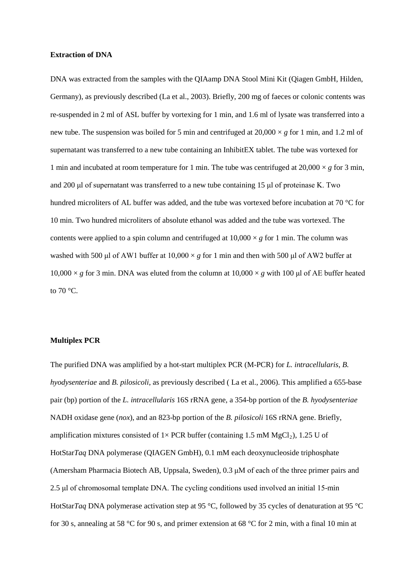#### **Extraction of DNA**

DNA was extracted from the samples with the QIAamp DNA Stool Mini Kit (Qiagen GmbH, Hilden, Germany), as previously described (La et al., 2003). Briefly, 200 mg of faeces or colonic contents was re-suspended in 2 ml of ASL buffer by vortexing for 1 min, and 1.6 ml of lysate was transferred into a new tube. The suspension was boiled for 5 min and centrifuged at 20,000 × *g* for 1 min, and 1.2 ml of supernatant was transferred to a new tube containing an InhibitEX tablet. The tube was vortexed for 1 min and incubated at room temperature for 1 min. The tube was centrifuged at  $20,000 \times g$  for 3 min, and 200 μl of supernatant was transferred to a new tube containing 15 μl of proteinase K. Two hundred microliters of AL buffer was added, and the tube was vortexed before incubation at 70 °C for 10 min. Two hundred microliters of absolute ethanol was added and the tube was vortexed. The contents were applied to a spin column and centrifuged at  $10,000 \times g$  for 1 min. The column was washed with 500 μl of AW1 buffer at 10,000 × *g* for 1 min and then with 500 μl of AW2 buffer at  $10,000 \times g$  for 3 min. DNA was eluted from the column at  $10,000 \times g$  with 100 µl of AE buffer heated to 70 °C.

#### **Multiplex PCR**

The purified DNA was amplified by a hot-start multiplex PCR (M-PCR) for *L. intracellularis*, *B. hyodysenteriae* and *B. pilosicoli*, as previously described ( La et al., 2006). This amplified a 655-base pair (bp) portion of the *L. intracellularis* 16S rRNA gene, a 354-bp portion of the *B. hyodysenteriae* NADH oxidase gene (*nox*), and an 823-bp portion of the *B. pilosicoli* 16S rRNA gene. Briefly, amplification mixtures consisted of  $1 \times PCR$  buffer (containing 1.5 mM MgCl<sub>2</sub>), 1.25 U of HotStar*Taq* DNA polymerase (QIAGEN GmbH), 0.1 mM each deoxynucleoside triphosphate (Amersham Pharmacia Biotech AB, Uppsala, Sweden), 0.3 μM of each of the three primer pairs and 2.5 μl of chromosomal template DNA. The cycling conditions used involved an initial 15-min HotStar*Taq* DNA polymerase activation step at 95 °C, followed by 35 cycles of denaturation at 95 °C for 30 s, annealing at 58 °C for 90 s, and primer extension at 68 °C for 2 min, with a final 10 min at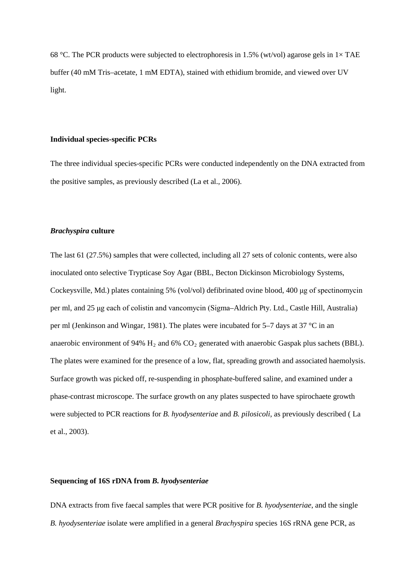68 °C. The PCR products were subjected to electrophoresis in 1.5% (wt/vol) agarose gels in  $1 \times$  TAE buffer (40 mM Tris–acetate, 1 mM EDTA), stained with ethidium bromide, and viewed over UV light.

#### **Individual species-specific PCRs**

The three individual species-specific PCRs were conducted independently on the DNA extracted from the positive samples, as previously described (La et al., 2006).

#### *Brachyspira* **culture**

The last 61 (27.5%) samples that were collected, including all 27 sets of colonic contents, were also inoculated onto selective Trypticase Soy Agar (BBL, Becton Dickinson Microbiology Systems, Cockeysville, Md.) plates containing 5% (vol/vol) defibrinated ovine blood, 400 μg of spectinomycin per ml, and 25 μg each of colistin and vancomycin (Sigma–Aldrich Pty. Ltd., Castle Hill, Australia) per ml (Jenkinson and Wingar, 1981). The plates were incubated for 5–7 days at 37 °C in an anaerobic environment of 94%  $H_2$  and 6%  $CO_2$  generated with anaerobic Gaspak plus sachets (BBL). The plates were examined for the presence of a low, flat, spreading growth and associated haemolysis. Surface growth was picked off, re-suspending in phosphate-buffered saline, and examined under a phase-contrast microscope. The surface growth on any plates suspected to have spirochaete growth were subjected to PCR reactions for *B. hyodysenteriae* and *B. pilosicoli*, as previously described ( La et al., 2003).

#### **Sequencing of 16S rDNA from** *B. hyodysenteriae*

DNA extracts from five faecal samples that were PCR positive for *B. hyodysenteriae*, and the single *B. hyodysenteriae* isolate were amplified in a general *Brachyspira* species 16S rRNA gene PCR, as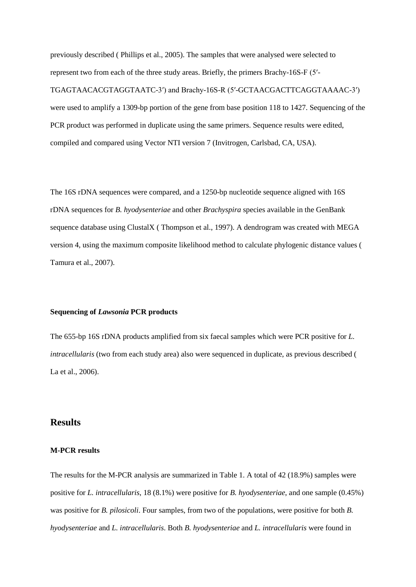previously described ( Phillips et al., 2005). The samples that were analysed were selected to represent two from each of the three study areas. Briefly, the primers Brachy-16S-F (5′- TGAGTAACACGTAGGTAATC-3′) and Brachy-16S-R (5′-GCTAACGACTTCAGGTAAAAC-3′) were used to amplify a 1309-bp portion of the gene from base position 118 to 1427. Sequencing of the PCR product was performed in duplicate using the same primers. Sequence results were edited, compiled and compared using Vector NTI version 7 (Invitrogen, Carlsbad, CA, USA).

The 16S rDNA sequences were compared, and a 1250-bp nucleotide sequence aligned with 16S rDNA sequences for *B. hyodysenteriae* and other *Brachyspira* species available in the GenBank sequence database using ClustalX ( Thompson et al., 1997). A dendrogram was created with MEGA version 4, using the maximum composite likelihood method to calculate phylogenic distance values ( Tamura et al., 2007).

#### **Sequencing of** *Lawsonia* **PCR products**

The 655-bp 16S rDNA products amplified from six faecal samples which were PCR positive for *L. intracellularis* (two from each study area) also were sequenced in duplicate, as previous described ( La et al., 2006).

## **Results**

#### **M-PCR results**

The results for the M-PCR analysis are summarized in Table 1. A total of 42 (18.9%) samples were positive for *L. intracellularis*, 18 (8.1%) were positive for *B. hyodysenteriae*, and one sample (0.45%) was positive for *B. pilosicoli*. Four samples, from two of the populations, were positive for both *B. hyodysenteriae* and *L. intracellularis*. Both *B. hyodysenteriae* and *L. intracellularis* were found in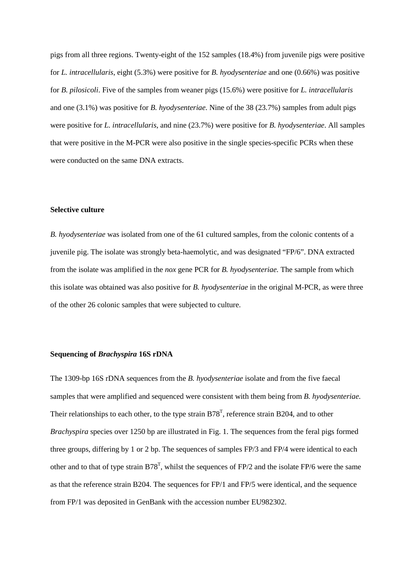pigs from all three regions. Twenty-eight of the 152 samples (18.4%) from juvenile pigs were positive for *L. intracellularis*, eight (5.3%) were positive for *B. hyodysenteriae* and one (0.66%) was positive for *B. pilosicoli*. Five of the samples from weaner pigs (15.6%) were positive for *L. intracellularis* and one (3.1%) was positive for *B. hyodysenteriae*. Nine of the 38 (23.7%) samples from adult pigs were positive for *L. intracellularis*, and nine (23.7%) were positive for *B. hyodysenteriae*. All samples that were positive in the M-PCR were also positive in the single species-specific PCRs when these were conducted on the same DNA extracts.

#### **Selective culture**

*B. hyodysenteriae* was isolated from one of the 61 cultured samples, from the colonic contents of a juvenile pig. The isolate was strongly beta-haemolytic, and was designated "FP/6". DNA extracted from the isolate was amplified in the *nox* gene PCR for *B. hyodysenteriae.* The sample from which this isolate was obtained was also positive for *B. hyodysenteriae* in the original M-PCR, as were three of the other 26 colonic samples that were subjected to culture.

#### **Sequencing of** *Brachyspira* **16S rDNA**

The 1309-bp 16S rDNA sequences from the *B. hyodysenteriae* isolate and from the five faecal samples that were amplified and sequenced were consistent with them being from *B. hyodysenteriae.* Their relationships to each other, to the type strain  $B78<sup>T</sup>$ , reference strain B204, and to other *Brachyspira* species over 1250 bp are illustrated in Fig. 1. The sequences from the feral pigs formed three groups, differing by 1 or 2 bp. The sequences of samples FP/3 and FP/4 were identical to each other and to that of type strain  $B78^T$ , whilst the sequences of FP/2 and the isolate FP/6 were the same as that the reference strain B204. The sequences for FP/1 and FP/5 were identical, and the sequence from FP/1 was deposited in GenBank with the accession number EU982302.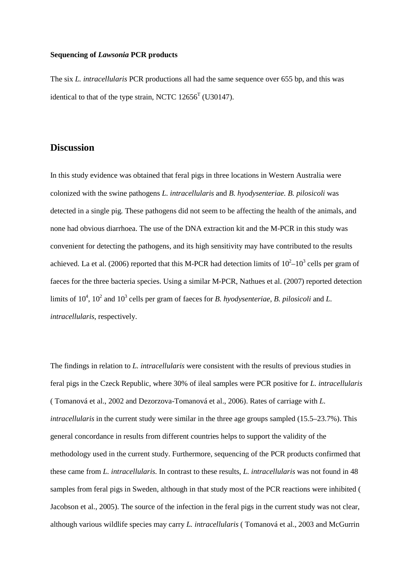#### **Sequencing of** *Lawsonia* **PCR products**

The six *L. intracellularis* PCR productions all had the same sequence over 655 bp, and this was identical to that of the type strain, NCTC  $12656^T$  (U30147).

## **Discussion**

In this study evidence was obtained that feral pigs in three locations in Western Australia were colonized with the swine pathogens *L. intracellularis* and *B. hyodysenteriae. B. pilosicoli* was detected in a single pig*.* These pathogens did not seem to be affecting the health of the animals, and none had obvious diarrhoea. The use of the DNA extraction kit and the M-PCR in this study was convenient for detecting the pathogens, and its high sensitivity may have contributed to the results achieved. La et al. (2006) reported that this M-PCR had detection limits of  $10^2$ – $10^3$  cells per gram of faeces for the three bacteria species. Using a similar M-PCR, Nathues et al. (2007) reported detection limits of 10<sup>4</sup>, 10<sup>2</sup> and 10<sup>3</sup> cells per gram of faeces for *B. hyodysenteriae*, *B. pilosicoli* and *L. intracellularis*, respectively.

The findings in relation to *L. intracellularis* were consistent with the results of previous studies in feral pigs in the Czeck Republic, where 30% of ileal samples were PCR positive for *L. intracellularis* ( Tomanová et al., 2002 and Dezorzova-Tomanová et al., 2006). Rates of carriage with *L. intracellularis* in the current study were similar in the three age groups sampled (15.5–23.7%). This general concordance in results from different countries helps to support the validity of the methodology used in the current study. Furthermore, sequencing of the PCR products confirmed that these came from *L. intracellularis.* In contrast to these results, *L. intracellularis* was not found in 48 samples from feral pigs in Sweden, although in that study most of the PCR reactions were inhibited ( Jacobson et al., 2005). The source of the infection in the feral pigs in the current study was not clear, although various wildlife species may carry *L. intracellularis* ( Tomanová et al., 2003 and McGurrin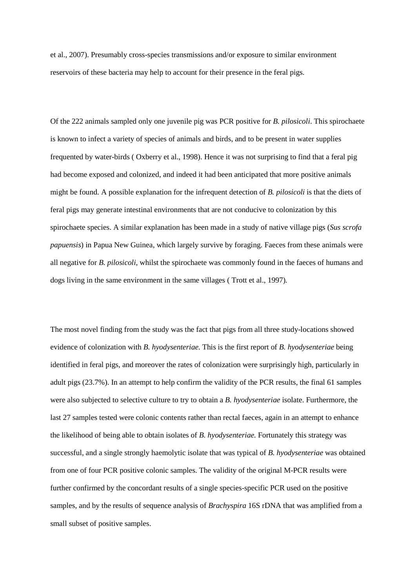et al., 2007). Presumably cross-species transmissions and/or exposure to similar environment reservoirs of these bacteria may help to account for their presence in the feral pigs.

Of the 222 animals sampled only one juvenile pig was PCR positive for *B. pilosicoli*. This spirochaete is known to infect a variety of species of animals and birds, and to be present in water supplies frequented by water-birds ( Oxberry et al., 1998). Hence it was not surprising to find that a feral pig had become exposed and colonized, and indeed it had been anticipated that more positive animals might be found. A possible explanation for the infrequent detection of *B. pilosicoli* is that the diets of feral pigs may generate intestinal environments that are not conducive to colonization by this spirochaete species. A similar explanation has been made in a study of native village pigs (*Sus scrofa papuensis*) in Papua New Guinea, which largely survive by foraging. Faeces from these animals were all negative for *B. pilosicoli*, whilst the spirochaete was commonly found in the faeces of humans and dogs living in the same environment in the same villages ( Trott et al., 1997)*.*

The most novel finding from the study was the fact that pigs from all three study-locations showed evidence of colonization with *B. hyodysenteriae.* This is the first report of *B. hyodysenteriae* being identified in feral pigs, and moreover the rates of colonization were surprisingly high, particularly in adult pigs (23.7%). In an attempt to help confirm the validity of the PCR results, the final 61 samples were also subjected to selective culture to try to obtain a *B. hyodysenteriae* isolate. Furthermore, the last 27 samples tested were colonic contents rather than rectal faeces, again in an attempt to enhance the likelihood of being able to obtain isolates of *B. hyodysenteriae.* Fortunately this strategy was successful, and a single strongly haemolytic isolate that was typical of *B. hyodysenteriae* was obtained from one of four PCR positive colonic samples. The validity of the original M-PCR results were further confirmed by the concordant results of a single species-specific PCR used on the positive samples, and by the results of sequence analysis of *Brachyspira* 16S rDNA that was amplified from a small subset of positive samples.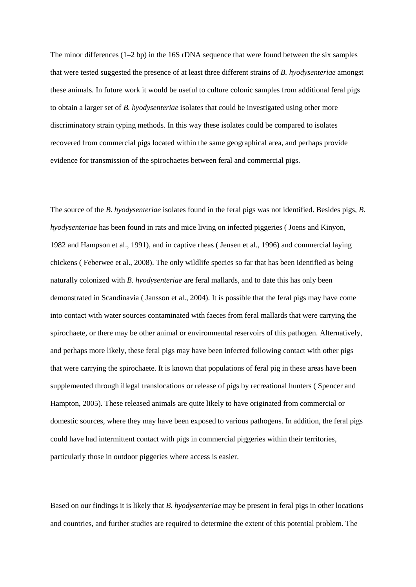The minor differences  $(1-2$  bp) in the 16S rDNA sequence that were found between the six samples that were tested suggested the presence of at least three different strains of *B. hyodysenteriae* amongst these animals*.* In future work it would be useful to culture colonic samples from additional feral pigs to obtain a larger set of *B. hyodysenteriae* isolates that could be investigated using other more discriminatory strain typing methods. In this way these isolates could be compared to isolates recovered from commercial pigs located within the same geographical area, and perhaps provide evidence for transmission of the spirochaetes between feral and commercial pigs.

The source of the *B. hyodysenteriae* isolates found in the feral pigs was not identified. Besides pigs, *B. hyodysenteriae* has been found in rats and mice living on infected piggeries ( Joens and Kinyon, 1982 and Hampson et al., 1991), and in captive rheas ( Jensen et al., 1996) and commercial laying chickens ( Feberwee et al., 2008). The only wildlife species so far that has been identified as being naturally colonized with *B. hyodysenteriae* are feral mallards, and to date this has only been demonstrated in Scandinavia ( Jansson et al., 2004). It is possible that the feral pigs may have come into contact with water sources contaminated with faeces from feral mallards that were carrying the spirochaete, or there may be other animal or environmental reservoirs of this pathogen. Alternatively, and perhaps more likely, these feral pigs may have been infected following contact with other pigs that were carrying the spirochaete. It is known that populations of feral pig in these areas have been supplemented through illegal translocations or release of pigs by recreational hunters ( Spencer and Hampton, 2005). These released animals are quite likely to have originated from commercial or domestic sources, where they may have been exposed to various pathogens. In addition, the feral pigs could have had intermittent contact with pigs in commercial piggeries within their territories, particularly those in outdoor piggeries where access is easier.

Based on our findings it is likely that *B. hyodysenteriae* may be present in feral pigs in other locations and countries, and further studies are required to determine the extent of this potential problem. The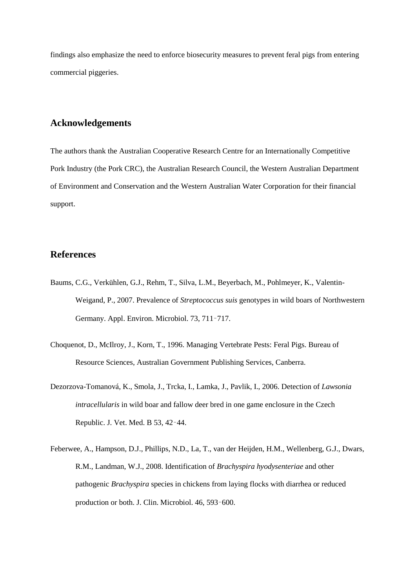findings also emphasize the need to enforce biosecurity measures to prevent feral pigs from entering commercial piggeries.

## **Acknowledgements**

The authors thank the Australian Cooperative Research Centre for an Internationally Competitive Pork Industry (the Pork CRC), the Australian Research Council, the Western Australian Department of Environment and Conservation and the Western Australian Water Corporation for their financial support.

## **References**

- Baums, C.G., Verkühlen, G.J., Rehm, T., Silva, L.M., Beyerbach, M., Pohlmeyer, K., Valentin-Weigand, P., 2007. Prevalence of *Streptococcus suis* genotypes in wild boars of Northwestern Germany. Appl. Environ. Microbiol. 73, 711–717.
- Choquenot, D., McIlroy, J., Korn, T., 1996. Managing Vertebrate Pests: Feral Pigs. Bureau of Resource Sciences, Australian Government Publishing Services, Canberra.
- Dezorzova-Tomanová, K., Smola, J., Trcka, I., Lamka, J., Pavlik, I., 2006. Detection of *Lawsonia intracellularis* in wild boar and fallow deer bred in one game enclosure in the Czech Republic. J. Vet. Med. B 53, 42–44.
- Feberwee, A., Hampson, D.J., Phillips, N.D., La, T., van der Heijden, H.M., Wellenberg, G.J., Dwars, R.M., Landman, W.J., 2008. Identification of *Brachyspira hyodysenteriae* and other pathogenic *Brachyspira* species in chickens from laying flocks with diarrhea or reduced production or both. J. Clin. Microbiol. 46, 593–600.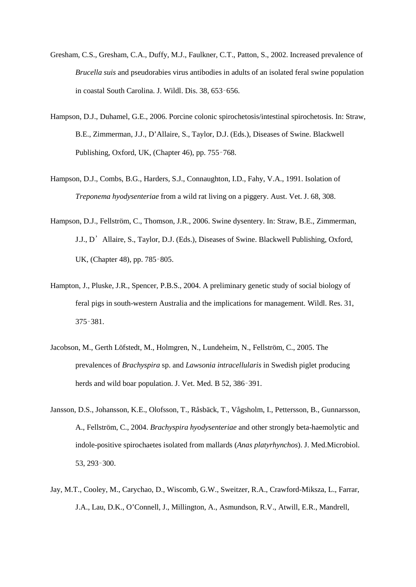- Gresham, C.S., Gresham, C.A., Duffy, M.J., Faulkner, C.T., Patton, S., 2002. Increased prevalence of *Brucella suis* and pseudorabies virus antibodies in adults of an isolated feral swine population in coastal South Carolina. J. Wildl. Dis. 38, 653–656.
- Hampson, D.J., Duhamel, G.E., 2006. Porcine colonic spirochetosis/intestinal spirochetosis. In: Straw, B.E., Zimmerman, J.J., D'Allaire, S., Taylor, D.J. (Eds.), Diseases of Swine. Blackwell Publishing, Oxford, UK, (Chapter 46), pp. 755–768.
- Hampson, D.J., Combs, B.G., Harders, S.J., Connaughton, I.D., Fahy, V.A., 1991. Isolation of *Treponema hyodysenteriae* from a wild rat living on a piggery. Aust. Vet. J. 68, 308.
- Hampson, D.J., Fellström, C., Thomson, J.R., 2006. Swine dysentery. In: Straw, B.E., Zimmerman, J.J., D'Allaire, S., Taylor, D.J. (Eds.), Diseases of Swine. Blackwell Publishing, Oxford, UK, (Chapter 48), pp. 785–805.
- Hampton, J., Pluske, J.R., Spencer, P.B.S., 2004. A preliminary genetic study of social biology of feral pigs in south-western Australia and the implications for management. Wildl. Res. 31, 375–381.
- Jacobson, M., Gerth Löfstedt, M., Holmgren, N., Lundeheim, N., Fellström, C., 2005. The prevalences of *Brachyspira* sp. and *Lawsonia intracellularis* in Swedish piglet producing herds and wild boar population. J. Vet. Med. B 52, 386–391.
- Jansson, D.S., Johansson, K.E., Olofsson, T., Råsbäck, T., Vågsholm, I., Pettersson, B., Gunnarsson, A., Fellström, C., 2004. *Brachyspira hyodysenteriae* and other strongly beta-haemolytic and indole-positive spirochaetes isolated from mallards (*Anas platyrhynchos*). J. Med.Microbiol. 53, 293–300.
- Jay, M.T., Cooley, M., Carychao, D., Wiscomb, G.W., Sweitzer, R.A., Crawford-Miksza, L., Farrar, J.A., Lau, D.K., O'Connell, J., Millington, A., Asmundson, R.V., Atwill, E.R., Mandrell,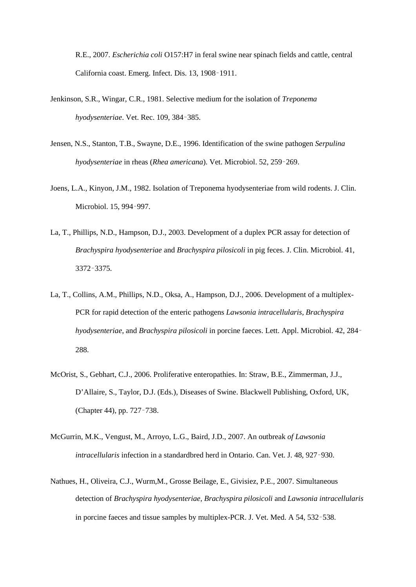R.E., 2007. *Escherichia coli* O157:H7 in feral swine near spinach fields and cattle, central California coast. Emerg. Infect. Dis. 13, 1908–1911.

- Jenkinson, S.R., Wingar, C.R., 1981. Selective medium for the isolation of *Treponema hyodysenteriae*. Vet. Rec. 109, 384–385.
- Jensen, N.S., Stanton, T.B., Swayne, D.E., 1996. Identification of the swine pathogen *Serpulina hyodysenteriae* in rheas (*Rhea americana*). Vet. Microbiol. 52, 259–269.
- Joens, L.A., Kinyon, J.M., 1982. Isolation of Treponema hyodysenteriae from wild rodents. J. Clin. Microbiol. 15, 994–997.
- La, T., Phillips, N.D., Hampson, D.J., 2003. Development of a duplex PCR assay for detection of *Brachyspira hyodysenteriae* and *Brachyspira pilosicoli* in pig feces. J. Clin. Microbiol. 41, 3372–3375.
- La, T., Collins, A.M., Phillips, N.D., Oksa, A., Hampson, D.J., 2006. Development of a multiplex-PCR for rapid detection of the enteric pathogens *Lawsonia intracellularis, Brachyspira hyodysenteriae*, and *Brachyspira pilosicoli* in porcine faeces. Lett. Appl. Microbiol. 42, 284– 288.
- McOrist, S., Gebhart, C.J., 2006. Proliferative enteropathies. In: Straw, B.E., Zimmerman, J.J., D'Allaire, S., Taylor, D.J. (Eds.), Diseases of Swine. Blackwell Publishing, Oxford, UK, (Chapter 44), pp. 727–738.
- McGurrin, M.K., Vengust, M., Arroyo, L.G., Baird, J.D., 2007. An outbreak *of Lawsonia intracellularis* infection in a standardbred herd in Ontario. Can. Vet. J. 48, 927–930.
- Nathues, H., Oliveira, C.J., Wurm,M., Grosse Beilage, E., Givisiez, P.E., 2007. Simultaneous detection of *Brachyspira hyodysenteriae, Brachyspira pilosicoli* and *Lawsonia intracellularis* in porcine faeces and tissue samples by multiplex-PCR. J. Vet. Med. A 54, 532–538.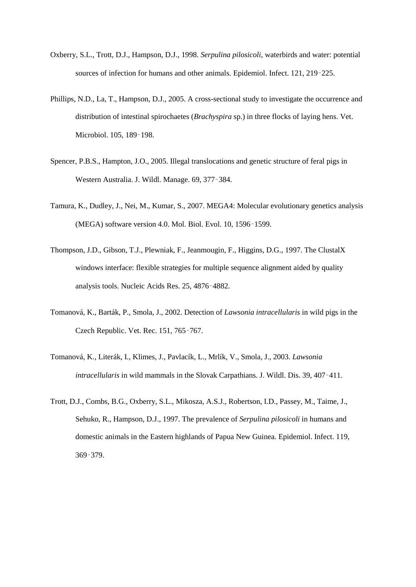- Oxberry, S.L., Trott, D.J., Hampson, D.J., 1998. *Serpulina pilosicoli*, waterbirds and water: potential sources of infection for humans and other animals. Epidemiol. Infect. 121, 219–225.
- Phillips, N.D., La, T., Hampson, D.J., 2005. A cross-sectional study to investigate the occurrence and distribution of intestinal spirochaetes (*Brachyspira* sp.) in three flocks of laying hens. Vet. Microbiol. 105, 189–198.
- Spencer, P.B.S., Hampton, J.O., 2005. Illegal translocations and genetic structure of feral pigs in Western Australia. J. Wildl. Manage. 69, 377–384.
- Tamura, K., Dudley, J., Nei, M., Kumar, S., 2007. MEGA4: Molecular evolutionary genetics analysis (MEGA) software version 4.0. Mol. Biol. Evol. 10, 1596–1599.
- Thompson, J.D., Gibson, T.J., Plewniak, F., Jeanmougin, F., Higgins, D.G., 1997. The ClustalX windows interface: flexible strategies for multiple sequence alignment aided by quality analysis tools. Nucleic Acids Res. 25, 4876–4882.
- Tomanová, K., Barták, P., Smola, J., 2002. Detection of *Lawsonia intracellularis* in wild pigs in the Czech Republic. Vet. Rec. 151, 765–767.
- Tomanová, K., Literák, I., Klimes, J., Pavlacík, L., Mrlík, V., Smola, J., 2003. *Lawsonia intracellularis* in wild mammals in the Slovak Carpathians. J. Wildl. Dis. 39, 407–411.
- Trott, D.J., Combs, B.G., Oxberry, S.L., Mikosza, A.S.J., Robertson, I.D., Passey, M., Taime, J., Sehuko, R., Hampson, D.J., 1997. The prevalence of *Serpulina pilosicoli* in humans and domestic animals in the Eastern highlands of Papua New Guinea. Epidemiol. Infect. 119, 369–379.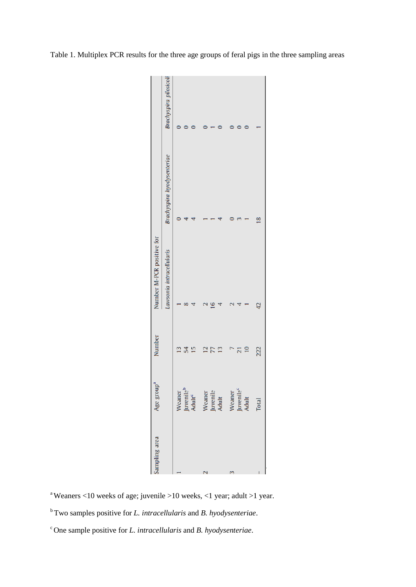| Sampling area            | Age group                                             | Number                          | Number M-PCR positive for |                            |                        |
|--------------------------|-------------------------------------------------------|---------------------------------|---------------------------|----------------------------|------------------------|
|                          |                                                       |                                 | Lawsonia intracellularis  | Brachyspira hyodysenteriae | Brachyspira pilosicoli |
|                          |                                                       | 13                              |                           |                            |                        |
|                          | Weaner<br>Juvenile <sup>b</sup><br>Adult <sup>c</sup> | 54                              |                           |                            |                        |
|                          |                                                       | 15                              |                           |                            |                        |
| $\overline{\mathcal{C}}$ |                                                       | $\frac{1}{1}$<br>$\overline{1}$ |                           |                            |                        |
|                          | Weaner<br>Juvenile<br>Adult                           | 77                              |                           |                            |                        |
|                          |                                                       | 13                              |                           |                            |                        |
| ᠬ                        |                                                       |                                 |                           |                            |                        |
|                          | Weaner<br>Juvenile <sup>c</sup><br>Adult              | 21                              |                           |                            |                        |
|                          |                                                       | $\overline{10}$                 |                           |                            |                        |
|                          | <b>Total</b>                                          | 222                             | 42                        | 18                         |                        |
|                          |                                                       |                                 |                           |                            |                        |

Table 1. Multiplex PCR results for the three age groups of feral pigs in the three sampling areas

<sup>a</sup> Weaners <10 weeks of age; juvenile >10 weeks, <1 year; adult >1 year.

<sup>b</sup> Two samples positive for *L. intracellularis* and *B. hyodysenteriae*.

c One sample positive for *L. intracellularis* and *B. hyodysenteriae*.